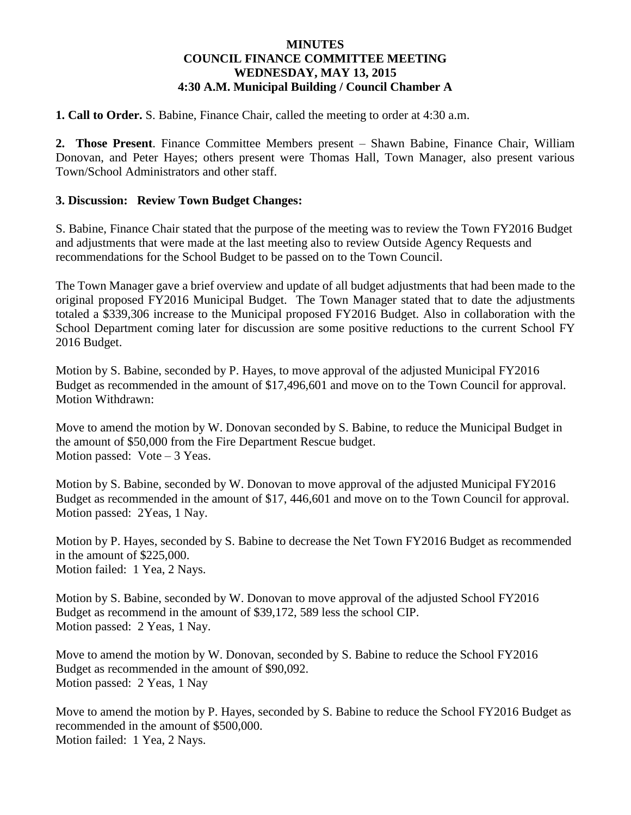## **MINUTES COUNCIL FINANCE COMMITTEE MEETING WEDNESDAY, MAY 13, 2015 4:30 A.M. Municipal Building / Council Chamber A**

**1. Call to Order.** S. Babine, Finance Chair, called the meeting to order at 4:30 a.m.

**2. Those Present**. Finance Committee Members present – Shawn Babine, Finance Chair, William Donovan, and Peter Hayes; others present were Thomas Hall, Town Manager, also present various Town/School Administrators and other staff.

## **3. Discussion: Review Town Budget Changes:**

S. Babine, Finance Chair stated that the purpose of the meeting was to review the Town FY2016 Budget and adjustments that were made at the last meeting also to review Outside Agency Requests and recommendations for the School Budget to be passed on to the Town Council.

The Town Manager gave a brief overview and update of all budget adjustments that had been made to the original proposed FY2016 Municipal Budget. The Town Manager stated that to date the adjustments totaled a \$339,306 increase to the Municipal proposed FY2016 Budget. Also in collaboration with the School Department coming later for discussion are some positive reductions to the current School FY 2016 Budget.

Motion by S. Babine, seconded by P. Hayes, to move approval of the adjusted Municipal FY2016 Budget as recommended in the amount of \$17,496,601 and move on to the Town Council for approval. Motion Withdrawn:

Move to amend the motion by W. Donovan seconded by S. Babine, to reduce the Municipal Budget in the amount of \$50,000 from the Fire Department Rescue budget. Motion passed: Vote – 3 Yeas.

Motion by S. Babine, seconded by W. Donovan to move approval of the adjusted Municipal FY2016 Budget as recommended in the amount of \$17, 446,601 and move on to the Town Council for approval. Motion passed: 2Yeas, 1 Nay.

Motion by P. Hayes, seconded by S. Babine to decrease the Net Town FY2016 Budget as recommended in the amount of \$225,000. Motion failed: 1 Yea, 2 Nays.

Motion by S. Babine, seconded by W. Donovan to move approval of the adjusted School FY2016 Budget as recommend in the amount of \$39,172, 589 less the school CIP. Motion passed: 2 Yeas, 1 Nay.

Move to amend the motion by W. Donovan, seconded by S. Babine to reduce the School FY2016 Budget as recommended in the amount of \$90,092. Motion passed: 2 Yeas, 1 Nay

Move to amend the motion by P. Hayes, seconded by S. Babine to reduce the School FY2016 Budget as recommended in the amount of \$500,000. Motion failed: 1 Yea, 2 Nays.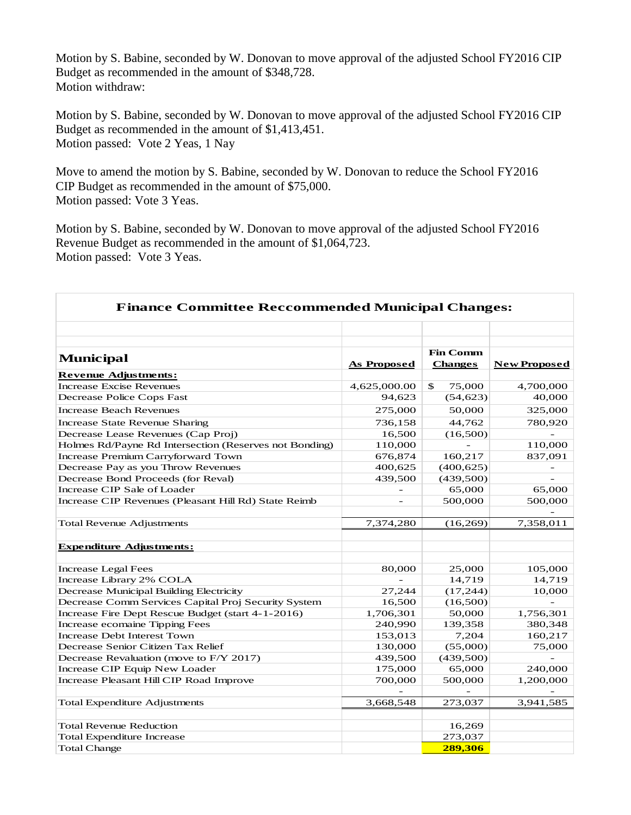Motion by S. Babine, seconded by W. Donovan to move approval of the adjusted School FY2016 CIP Budget as recommended in the amount of \$348,728. Motion withdraw:

Motion by S. Babine, seconded by W. Donovan to move approval of the adjusted School FY2016 CIP Budget as recommended in the amount of \$1,413,451. Motion passed: Vote 2 Yeas, 1 Nay

Move to amend the motion by S. Babine, seconded by W. Donovan to reduce the School FY2016 CIP Budget as recommended in the amount of \$75,000. Motion passed: Vote 3 Yeas.

Motion by S. Babine, seconded by W. Donovan to move approval of the adjusted School FY2016 Revenue Budget as recommended in the amount of \$1,064,723. Motion passed: Vote 3 Yeas.

| <b>Finance Committee Reccommended Municipal Changes:</b> |                                   |                              |  |  |
|----------------------------------------------------------|-----------------------------------|------------------------------|--|--|
|                                                          |                                   |                              |  |  |
| <b>As Proposed</b>                                       | <b>Fin Comm</b><br><b>Changes</b> | <b>New Proposed</b>          |  |  |
|                                                          |                                   |                              |  |  |
| 4,625,000.00                                             | $\mathbb{S}$<br>75,000            | 4,700,000                    |  |  |
| 94,623                                                   | (54, 623)                         | 40,000                       |  |  |
| 275,000                                                  | 50,000                            | 325,000                      |  |  |
| 736,158                                                  | 44,762                            | 780,920                      |  |  |
| 16,500                                                   | (16,500)                          |                              |  |  |
| 110,000                                                  |                                   | 110,000                      |  |  |
| 676,874                                                  | 160,217                           | 837,091                      |  |  |
| 400,625                                                  | (400, 625)                        |                              |  |  |
| 439,500                                                  | (439,500)                         | $\sim$                       |  |  |
|                                                          | 65,000                            | 65,000                       |  |  |
|                                                          | 500,000                           | 500,000                      |  |  |
| 7,374,280                                                | (16, 269)                         | 7,358,011                    |  |  |
|                                                          |                                   |                              |  |  |
|                                                          |                                   |                              |  |  |
| 80,000                                                   | 25,000                            | 105,000                      |  |  |
|                                                          | 14,719                            | 14,719                       |  |  |
| 27,244                                                   | (17,244)                          | 10,000                       |  |  |
| 16,500                                                   | (16,500)                          |                              |  |  |
| 1,706,301                                                | 50,000                            | 1,756,301                    |  |  |
| 240,990                                                  | 139,358                           | 380,348                      |  |  |
| 153,013                                                  | 7,204                             | 160,217                      |  |  |
| 130,000                                                  | (55,000)                          | 75,000                       |  |  |
| 439,500                                                  | (439,500)                         |                              |  |  |
| 175,000                                                  | 65,000                            | 240,000                      |  |  |
|                                                          |                                   | 1,200,000                    |  |  |
|                                                          |                                   |                              |  |  |
|                                                          |                                   | 3,941,585                    |  |  |
|                                                          |                                   |                              |  |  |
|                                                          | 273,037                           |                              |  |  |
|                                                          | 289,306                           |                              |  |  |
|                                                          | 700,000<br>3,668,548              | 500,000<br>273,037<br>16,269 |  |  |